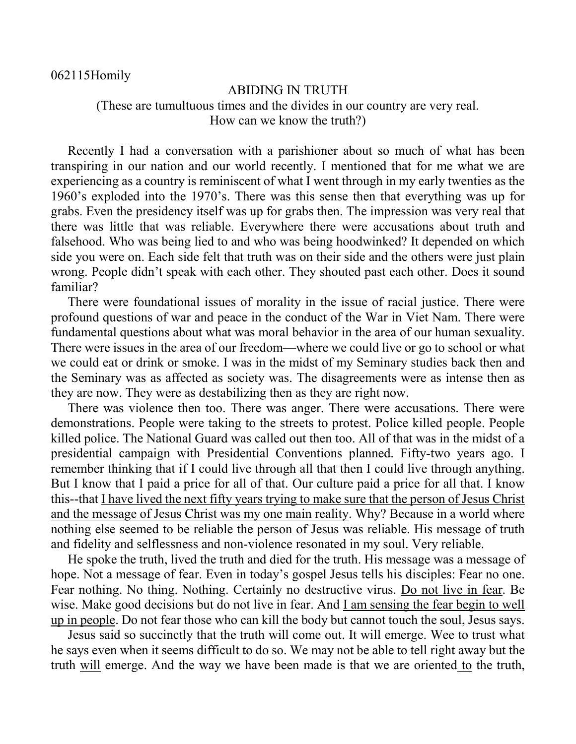062115Homily

## ABIDING IN TRUTH

(These are tumultuous times and the divides in our country are very real. How can we know the truth?)

Recently I had a conversation with a parishioner about so much of what has been transpiring in our nation and our world recently. I mentioned that for me what we are experiencing as a country is reminiscent of what I went through in my early twenties as the 1960's exploded into the 1970's. There was this sense then that everything was up for grabs. Even the presidency itself was up for grabs then. The impression was very real that there was little that was reliable. Everywhere there were accusations about truth and falsehood. Who was being lied to and who was being hoodwinked? It depended on which side you were on. Each side felt that truth was on their side and the others were just plain wrong. People didn't speak with each other. They shouted past each other. Does it sound familiar?

There were foundational issues of morality in the issue of racial justice. There were profound questions of war and peace in the conduct of the War in Viet Nam. There were fundamental questions about what was moral behavior in the area of our human sexuality. There were issues in the area of our freedom—where we could live or go to school or what we could eat or drink or smoke. I was in the midst of my Seminary studies back then and the Seminary was as affected as society was. The disagreements were as intense then as they are now. They were as destabilizing then as they are right now.

There was violence then too. There was anger. There were accusations. There were demonstrations. People were taking to the streets to protest. Police killed people. People killed police. The National Guard was called out then too. All of that was in the midst of a presidential campaign with Presidential Conventions planned. Fifty-two years ago. I remember thinking that if I could live through all that then I could live through anything. But I know that I paid a price for all of that. Our culture paid a price for all that. I know this--that I have lived the next fifty years trying to make sure that the person of Jesus Christ and the message of Jesus Christ was my one main reality. Why? Because in a world where nothing else seemed to be reliable the person of Jesus was reliable. His message of truth and fidelity and selflessness and non-violence resonated in my soul. Very reliable.

He spoke the truth, lived the truth and died for the truth. His message was a message of hope. Not a message of fear. Even in today's gospel Jesus tells his disciples: Fear no one. Fear nothing. No thing. Nothing. Certainly no destructive virus. Do not live in fear. Be wise. Make good decisions but do not live in fear. And  $\underline{I}$  am sensing the fear begin to well up in people. Do not fear those who can kill the body but cannot touch the soul, Jesus says.

Jesus said so succinctly that the truth will come out. It will emerge. Wee to trust what he says even when it seems difficult to do so. We may not be able to tell right away but the truth will emerge. And the way we have been made is that we are oriented to the truth,